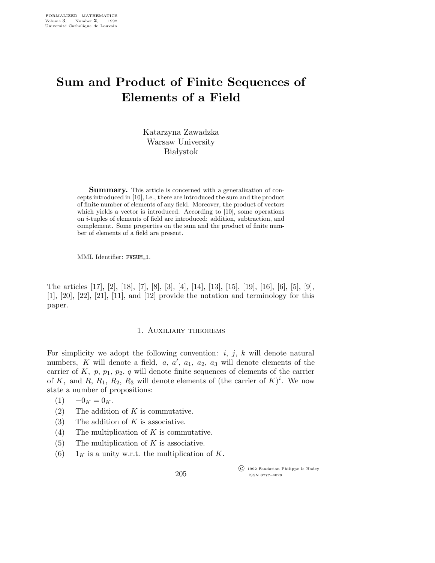# Sum and Product of Finite Sequences of Elements of a Field

Katarzyna Zawadzka Warsaw University **Białystok** 

**Summary.** This article is concerned with a generalization of concepts introduced in [10], i.e., there are introduced the sum and the product of finite number of elements of any field. Moreover, the product of vectors which yields a vector is introduced. According to [10], some operations on i-tuples of elements of field are introduced: addition, subtraction, and complement. Some properties on the sum and the product of finite number of elements of a field are present.

MML Identifier: FVSUM\_1.

The articles [17], [2], [18], [7], [8], [3], [4], [14], [13], [15], [19], [16], [6], [5], [9], [1], [20], [22], [21], [11], and [12] provide the notation and terminology for this paper.

### 1. Auxiliary theorems

For simplicity we adopt the following convention:  $i, j, k$  will denote natural numbers, K will denote a field, a,  $a'$ ,  $a_1$ ,  $a_2$ ,  $a_3$  will denote elements of the carrier of  $K$ ,  $p$ ,  $p_1$ ,  $p_2$ ,  $q$  will denote finite sequences of elements of the carrier of K, and  $R$ ,  $R_1$ ,  $R_2$ ,  $R_3$  will denote elements of (the carrier of K)<sup>i</sup>. We now state a number of propositions:

- $(1) \quad -0_K = 0_K.$
- (2) The addition of  $K$  is commutative.
- (3) The addition of  $K$  is associative.
- (4) The multiplication of  $K$  is commutative.
- (5) The multiplication of  $K$  is associative.
- (6)  $1_K$  is a unity w.r.t. the multiplication of K.

205

 c 1992 Fondation Philippe le Hodey ISSN 0777–4028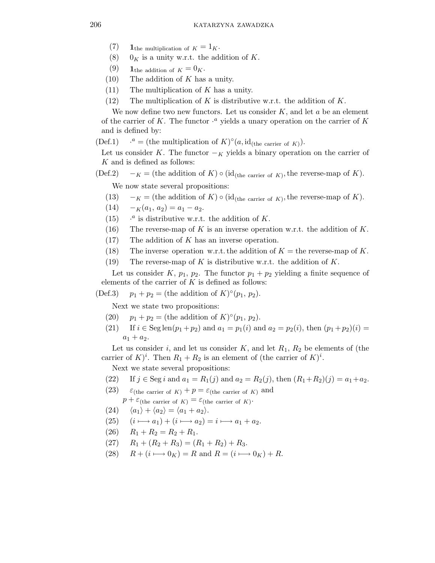- (7) 1the multiplication of  $K = 1_K$ .
- (8)  $0_K$  is a unity w.r.t. the addition of K.
- (9) 1<sub>the addition of  $K = 0$ <sub>K</sub>.</sub>
- $(10)$  The addition of K has a unity.
- $(11)$  The multiplication of K has a unity.
- (12) The multiplication of K is distributive w.r.t. the addition of K.

We now define two new functors. Let us consider  $K$ , and let  $a$  be an element of the carrier of K. The functor  $\cdot^a$  yields a unary operation on the carrier of K and is defined by:

 $(Def.1)$ <sup>*a*</sup> = (the multiplication of  $K$ )°(*a*, id<sub>(the carrier of *K*)).</sub>

Let us consider K. The functor  $-\kappa$  yields a binary operation on the carrier of K and is defined as follows:

(Def.2)  $-K =$  (the addition of K)  $\circ$  (id<sub>(the carrier of K)</sub>, the reverse-map of K).

We now state several propositions:

- (13)  $-K =$  (the addition of K)  $\circ$  (id<sub>(the carrier of K)</sub>, the reverse-map of K).
- (14)  $-k(a_1, a_2) = a_1 a_2.$
- $(15)$  $a$  is distributive w.r.t. the addition of K.
- (16) The reverse-map of K is an inverse operation w.r.t. the addition of K.
- $(17)$  The addition of K has an inverse operation.
- (18) The inverse operation w.r.t. the addition of  $K =$  the reverse-map of K.
- (19) The reverse-map of K is distributive w.r.t. the addition of K.

Let us consider K,  $p_1$ ,  $p_2$ . The functor  $p_1 + p_2$  yielding a finite sequence of elements of the carrier of  $K$  is defined as follows:

(Def.3)  $p_1 + p_2 =$  (the addition of  $K$ )° $(p_1, p_2)$ .

Next we state two propositions:

- (20)  $p_1 + p_2 =$  (the addition of  $K$ )° $(p_1, p_2)$ .
- (21) If  $i \in \text{Seg len}(p_1 + p_2)$  and  $a_1 = p_1(i)$  and  $a_2 = p_2(i)$ , then  $(p_1 + p_2)(i) =$  $a_1 + a_2.$

Let us consider i, and let us consider  $K$ , and let  $R_1, R_2$  be elements of (the carrier of  $K)^i$ . Then  $R_1 + R_2$  is an element of (the carrier of  $K)^i$ .

Next we state several propositions:

- (22) If  $j \in \text{Seg } i$  and  $a_1 = R_1(j)$  and  $a_2 = R_2(j)$ , then  $(R_1 + R_2)(j) = a_1 + a_2$ .
- (23)  $\varepsilon_{\text{(the carrier of } K)} + p = \varepsilon_{\text{(the carrier of } K)}$  and  $p + \varepsilon$ <sub>(the carrier of K)</sub> =  $\varepsilon$ <sub>(the carrier of K)</sub>.
- (24)  $\langle a_1 \rangle + \langle a_2 \rangle = \langle a_1 + a_2 \rangle.$
- $(25)$   $(i \rightarrow a_1) + (i \rightarrow a_2) = i \rightarrow a_1 + a_2.$
- $(26)$   $R_1 + R_2 = R_2 + R_1.$
- (27)  $R_1 + (R_2 + R_3) = (R_1 + R_2) + R_3.$
- (28)  $R + (i \rightarrow 0_K) = R$  and  $R = (i \rightarrow 0_K) + R$ .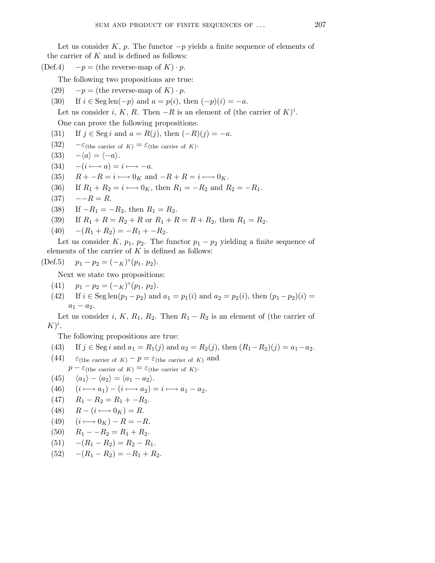Let us consider K, p. The functor  $-p$  yields a finite sequence of elements of the carrier of  $K$  and is defined as follows:

(Def.4)  $-p =$  (the reverse-map of K) · p.

The following two propositions are true:

- (29)  $-p =$  (the reverse-map of K) · p.
- (30) If  $i \in \text{Seg len}(-p)$  and  $a = p(i)$ , then  $(-p)(i) = -a$ .

Let us consider i, K, R. Then  $-R$  is an element of (the carrier of  $K)^i$ . One can prove the following propositions:

- (31) If  $j \in \text{Seg } i$  and  $a = R(j)$ , then  $(-R)(j) = -a$ .
- (32)  $-\varepsilon$ <sub>(the carrier of K)</sub> =  $\varepsilon$ <sub>(the carrier of K)</sub>.

$$
(33) \quad -\langle a \rangle = \langle -a \rangle.
$$

- $(34)$  − $(i \rightarrow a) = i \rightarrow -a$ .
- (35)  $R + -R = i \rightarrow 0<sub>K</sub>$  and  $-R + R = i \rightarrow 0<sub>K</sub>$ .
- (36) If  $R_1 + R_2 = i \mapsto 0_K$ , then  $R_1 = -R_2$  and  $R_2 = -R_1$ .
- $(37) \quad -R = R.$
- (38) If  $-R_1 = -R_2$ , then  $R_1 = R_2$ .
- (39) If  $R_1 + R = R_2 + R$  or  $R_1 + R = R + R_2$ , then  $R_1 = R_2$ .
- (40)  $-(R_1 + R_2) = -R_1 + -R_2.$

Let us consider K,  $p_1$ ,  $p_2$ . The functor  $p_1 - p_2$  yielding a finite sequence of elements of the carrier of  $K$  is defined as follows:

(Def.5) 
$$
p_1 - p_2 = (-K)^{\circ}(p_1, p_2).
$$

Next we state two propositions:

- (41)  $p_1 p_2 = (-\kappa)^{\circ}(p_1, p_2).$
- (42) If  $i \in \text{Seg len}(p_1 p_2)$  and  $a_1 = p_1(i)$  and  $a_2 = p_2(i)$ , then  $(p_1 p_2)(i)$  $a_1 - a_2.$

Let us consider i, K, R<sub>1</sub>, R<sub>2</sub>. Then  $R_1 - R_2$  is an element of (the carrier of  $K)^i$ .

The following propositions are true:

(43) If 
$$
j \in \text{Seg } i
$$
 and  $a_1 = R_1(j)$  and  $a_2 = R_2(j)$ , then  $(R_1 - R_2)(j) = a_1 - a_2$ .

- (44)  $\varepsilon_{\text{(the carrier of } K)} p = \varepsilon_{\text{(the carrier of } K)}$  and  $p - \varepsilon$ (the carrier of K) =  $\varepsilon$ (the carrier of K).
- (45)  $\langle a_1 \rangle \langle a_2 \rangle = \langle a_1 a_2 \rangle.$

(46) 
$$
(i \longmapsto a_1) - (i \longmapsto a_2) = i \longmapsto a_1 - a_2.
$$

- (47)  $R_1 R_2 = R_1 + -R_2$ .
- (48)  $R (i \rightarrow 0<sub>K</sub>) = R$ .
- (49)  $(i \rightarrow 0_K) R = -R.$
- (50)  $R_1 R_2 = R_1 + R_2$ .
- (51)  $-(R_1 R_2) = R_2 R_1$ .
- (52)  $-(R_1 R_2) = -R_1 + R_2.$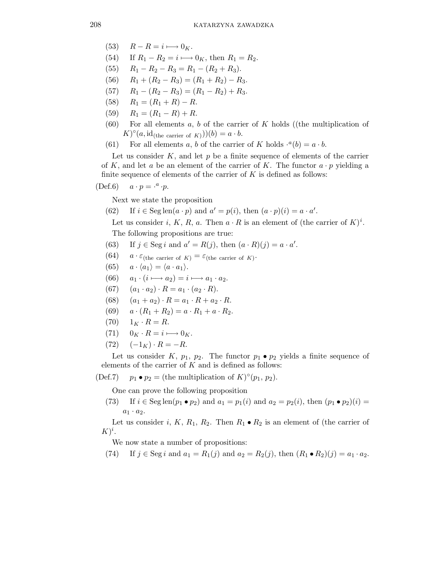- (53)  $R R = i \longmapsto 0<sub>K</sub>$ .
- (54) If  $R_1 R_2 = i \longrightarrow 0_K$ , then  $R_1 = R_2$ .
- (55)  $R_1 R_2 R_3 = R_1 (R_2 + R_3).$
- (56)  $R_1 + (R_2 R_3) = (R_1 + R_2) R_3.$
- (57)  $R_1 (R_2 R_3) = (R_1 R_2) + R_3.$
- (58)  $R_1 = (R_1 + R) R$ .
- (59)  $R_1 = (R_1 R) + R$ .
- $(60)$  For all elements a, b of the carrier of K holds ((the multiplication of  $(K)^\circ(a, \mathrm{id}_{(\text{the carrier of } K)})(b) = a \cdot b.$
- (61) For all elements a, b of the carrier of K holds  $\cdot^a(b) = a \cdot b$ .

Let us consider  $K$ , and let  $p$  be a finite sequence of elements of the carrier of K, and let a be an element of the carrier of K. The functor  $a \cdot p$  yielding a finite sequence of elements of the carrier of  $K$  is defined as follows:

## (Def.6)  $a \cdot p = \cdot^a \cdot p$ .

Next we state the proposition

(62) If  $i \in \text{Seg len}(a \cdot p)$  and  $a' = p(i)$ , then  $(a \cdot p)(i) = a \cdot a'$ .

Let us consider i, K, R, a. Then  $a \cdot R$  is an element of (the carrier of  $K)^i$ . The following propositions are true:

- (63) If  $j \in \text{Seg } i$  and  $a' = R(j)$ , then  $(a \cdot R)(j) = a \cdot a'$ .
- (64)  $a \cdot \varepsilon_{\text{(the carrier of } K)} = \varepsilon_{\text{(the carrier of } K)}$ .
- (65)  $a \cdot \langle a_1 \rangle = \langle a \cdot a_1 \rangle$ .
- (66)  $a_1 \cdot (i \mapsto a_2) = i \mapsto a_1 \cdot a_2.$
- (67)  $(a_1 \cdot a_2) \cdot R = a_1 \cdot (a_2 \cdot R).$
- (68)  $(a_1 + a_2) \cdot R = a_1 \cdot R + a_2 \cdot R$ .
- (69)  $a \cdot (R_1 + R_2) = a \cdot R_1 + a \cdot R_2$ .
- $(70)$   $1_K \cdot R = R$ .
- $(71)$   $0_K \cdot R = i \longmapsto 0_K$ .
- $(72) \quad (-1_K) \cdot R = -R.$

Let us consider K,  $p_1$ ,  $p_2$ . The functor  $p_1 \bullet p_2$  yields a finite sequence of elements of the carrier of  $K$  and is defined as follows:

(Def.7)  $p_1 \bullet p_2 =$  (the multiplication of  $K$ )° $(p_1, p_2)$ .

One can prove the following proposition

(73) If  $i \in \text{Seg len}(p_1 \bullet p_2)$  and  $a_1 = p_1(i)$  and  $a_2 = p_2(i)$ , then  $(p_1 \bullet p_2)(i)$  $a_1 \cdot a_2$ .

Let us consider i, K, R<sub>1</sub>, R<sub>2</sub>. Then  $R_1 \bullet R_2$  is an element of (the carrier of  $K)^i$ .

We now state a number of propositions:

(74) If  $j \in \text{Seg } i$  and  $a_1 = R_1(j)$  and  $a_2 = R_2(j)$ , then  $(R_1 \bullet R_2)(j) = a_1 \cdot a_2$ .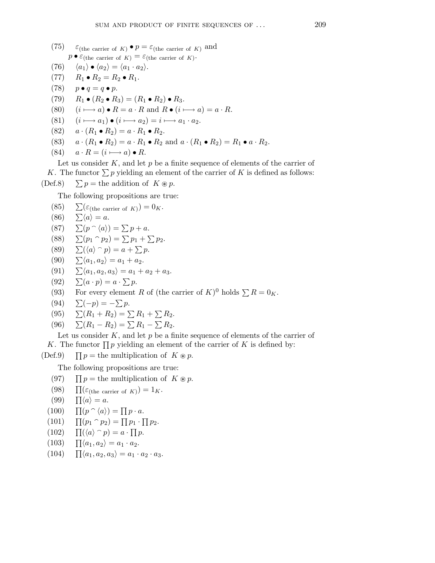- (75)  $\varepsilon_{\text{(the carrier of } K)} \bullet p = \varepsilon_{\text{(the carrier of } K)} \text{ and}$  $p \bullet \varepsilon$ (the carrier of  $K$ ) =  $\varepsilon$ (the carrier of  $K$ ).
- (76)  $\langle a_1 \rangle \bullet \langle a_2 \rangle = \langle a_1 \cdot a_2 \rangle.$
- (77)  $R_1 \bullet R_2 = R_2 \bullet R_1.$
- (78)  $p \bullet q = q \bullet p$ .
- (79)  $R_1 \bullet (R_2 \bullet R_3) = (R_1 \bullet R_2) \bullet R_3.$
- (80)  $(i \rightarrow a) \bullet R = a \cdot R$  and  $R \bullet (i \rightarrow a) = a \cdot R$ .
- (81)  $(i \rightarrow a_1) \bullet (i \rightarrow a_2) = i \rightarrow a_1 \cdot a_2.$
- (82)  $a \cdot (R_1 \bullet R_2) = a \cdot R_1 \bullet R_2.$
- (83)  $a \cdot (R_1 \bullet R_2) = a \cdot R_1 \bullet R_2$  and  $a \cdot (R_1 \bullet R_2) = R_1 \bullet a \cdot R_2$ .
- (84)  $a \cdot R = (i \longmapsto a) \bullet R$ .

Let us consider  $K$ , and let  $p$  be a finite sequence of elements of the carrier of K. The functor  $\sum p$  yielding an element of the carrier of K is defined as follows: (Def.8)  $\sum p =$  the addition of  $K \otimes p$ .

The following propositions are true:

(85) 
$$
\sum (\varepsilon_{\text{(the carrier of } K)}) = 0_K.
$$

- $(86) \quad \sum \langle a \rangle = a.$
- (87)  $\sum (p \cap \langle a \rangle) = \sum p + a$ .
- (88)  $\sum (p_1 \cap p_2) = \sum p_1 + \sum p_2$ .
- (89)  $\sum (\langle a \rangle^p p) = a + \sum p$ .
- (90)  $\sum \langle a_1, a_2 \rangle = a_1 + a_2.$
- (91)  $\sum \langle a_1, a_2, a_3 \rangle = a_1 + a_2 + a_3.$
- (92)  $\sum (a \cdot p) = a \cdot \sum p$ .
- (93) For every element R of (the carrier of  $K$ )<sup>0</sup> holds  $\sum R = 0_K$ .
- (94)  $\sum(-p) = -\sum p$ .

$$
(95) \t \sum (R_1 + R_2) = \sum R_1 + \sum R_2.
$$

(96)  $\sum (R_1 - R_2) = \sum R_1 - \sum R_2$ .

Let us consider  $K$ , and let p be a finite sequence of elements of the carrier of K. The functor  $\prod p$  yielding an element of the carrier of K is defined by:

 $(Def.9)$  $p =$  the multiplication of  $K \otimes p$ .

The following propositions are true:

- $(97)$  $p =$  the multiplication of  $K \otimes p$ .
- $(98)$  $(\varepsilon_{\text{(the carrier of } K)}) = 1_K.$
- $(99)$  $\Pi \langle a \rangle = a.$
- $(100)$  $(p \cap \langle a \rangle) = \prod p \cdot a.$
- $(101)$  $(p_1 \cap p_2) = \prod p_1 \cdot \prod p_2.$
- $(102)$  $(\langle a \rangle \cap p) = a \cdot \prod p.$
- $(103)$  $\prod \langle a_1, a_2 \rangle = a_1 \cdot a_2.$
- $(104)$  $\prod \langle a_1, a_2, a_3 \rangle = a_1 \cdot a_2 \cdot a_3.$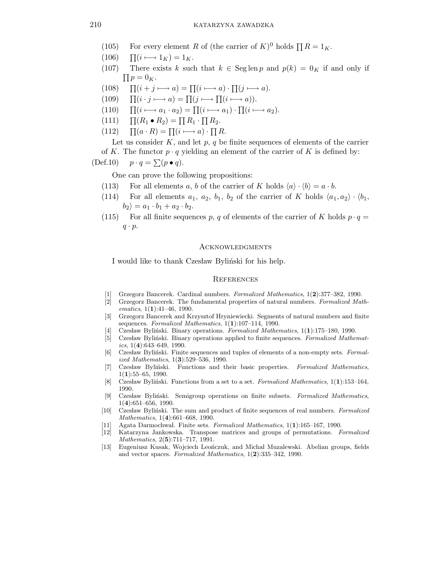- (105) For every element R of (the carrier of  $K$ )<sup>0</sup> holds  $\prod R = 1_K$ .
- $(106)$  $\prod(i \longmapsto 1_K) = 1_K.$
- (107) There exists k such that  $k \in \text{Seg} \operatorname{len} p$  and  $p(k) = 0_K$  if and only if  $\prod p = 0_K.$
- $(108)$  $(i + j \rightarrow a) = \prod (i \rightarrow a) \cdot \prod (j \rightarrow a).$
- $(109)$  $(i \cdot j \longmapsto a) = \prod(j \longmapsto \prod(i \longmapsto a)).$
- $(110)$  $(i \longmapsto a_1 \cdot a_2) = \prod (i \longmapsto a_1) \cdot \prod (i \longmapsto a_2).$
- $(111)$  $(R_1 \bullet R_2) = \prod R_1 \cdot \prod R_2.$
- $(112)$  $(a \cdot R) = \prod (i \longmapsto a) \cdot \prod R.$

Let us consider  $K$ , and let  $p$ ,  $q$  be finite sequences of elements of the carrier of K. The functor  $p \cdot q$  yielding an element of the carrier of K is defined by:

$$
(\text{Def}.10) \quad p \cdot q = \sum (p \bullet q).
$$

One can prove the following propositions:

- (113) For all elements a, b of the carrier of K holds  $\langle a \rangle \cdot \langle b \rangle = a \cdot b$ .
- (114) For all elements  $a_1, a_2, b_1, b_2$  of the carrier of K holds  $\langle a_1, a_2 \rangle \cdot \langle b_1, b_2 \rangle$  $|b_2\rangle = a_1 \cdot b_1 + a_2 \cdot b_2.$
- (115) For all finite sequences p, q of elements of the carrier of K holds  $p \cdot q =$  $q \cdot p$ .

### Acknowledgments

I would like to thank Czesław Byliński for his help.

#### **REFERENCES**

- [1] Grzegorz Bancerek. Cardinal numbers. Formalized Mathematics, 1(2):377–382, 1990.
- [2] Grzegorz Bancerek. The fundamental properties of natural numbers. Formalized Mathematics,  $1(1):41-46$ , 1990.
- [3] Grzegorz Bancerek and Krzysztof Hryniewiecki. Segments of natural numbers and finite sequences. Formalized Mathematics,  $1(1):107-114$ , 1990.
- Czesław Byliński. Binary operations. Formalized Mathematics,  $1(1):175-180$ , 1990.
- [5] Czesław Byliński. Binary operations applied to finite sequences. Formalized Mathematics,  $1(4):643-649$ , 1990.
- [6] Czesław Byliński. Finite sequences and tuples of elements of a non-empty sets. Formalized Mathematics, 1(3):529–536, 1990.
- [7] Czesław Byliński. Functions and their basic properties. Formalized Mathematics,  $1(1):55-65, 1990.$
- [8] Czesław Byliński. Functions from a set to a set. Formalized Mathematics,  $1(1):153-164$ , 1990.
- [9] Czesław Byliński. Semigroup operations on finite subsets. Formalized Mathematics, 1(4):651–656, 1990.
- [10] Czesław Byliński. The sum and product of finite sequences of real numbers. Formalized Mathematics, 1(4):661–668, 1990.
- [11] Agata Darmochwal. Finite sets. Formalized Mathematics,  $1(1):165-167$ , 1990.
- [12] Katarzyna Jankowska. Transpose matrices and groups of permutations. Formalized Mathematics, 2(5):711–717, 1991.
- [13] Eugeniusz Kusak, Wojciech Leonczuk, and Michał Muzalewski. Abelian groups, fields and vector spaces. Formalized Mathematics, 1(2):335–342, 1990.